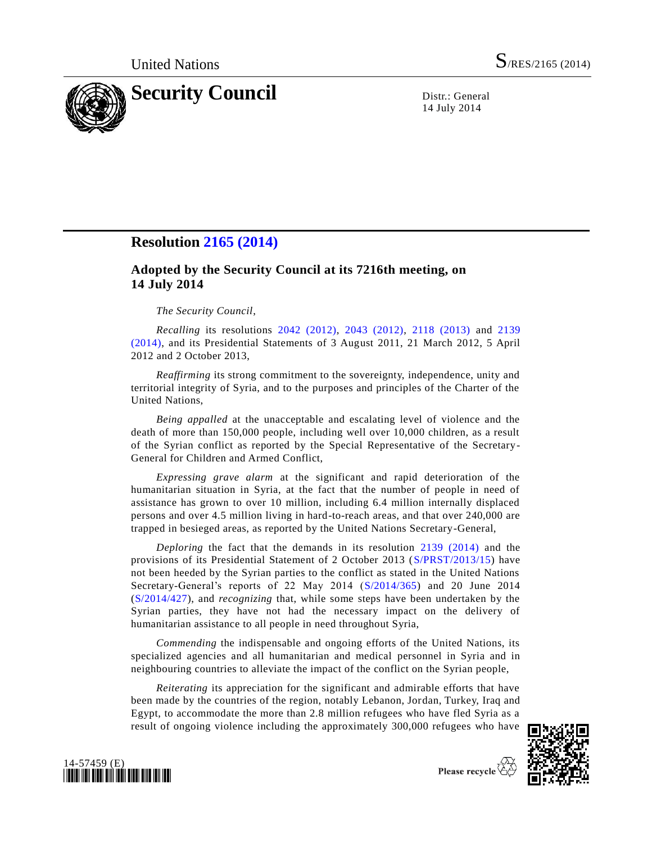

14 July 2014

## **Resolution [2165 \(2014\)](http://undocs.org/S/RES/2165(2014))**

## **Adopted by the Security Council at its 7216th meeting, on 14 July 2014**

## *The Security Council*,

*Recalling* its resolutions [2042 \(2012\),](http://undocs.org/S/RES/2042(2012)) [2043 \(2012\),](http://undocs.org/S/RES/2043(2012)) [2118 \(2013\)](http://undocs.org/S/RES/2118(2013)) and [2139](http://undocs.org/S/RES/2139(2014))  [\(2014\),](http://undocs.org/S/RES/2139(2014)) and its Presidential Statements of 3 August 2011, 21 March 2012, 5 April 2012 and 2 October 2013,

*Reaffirming* its strong commitment to the sovereignty, independence, unity and territorial integrity of Syria, and to the purposes and principles of the Charter of the United Nations,

*Being appalled* at the unacceptable and escalating level of violence and the death of more than 150,000 people, including well over 10,000 children, as a result of the Syrian conflict as reported by the Special Representative of the Secretary-General for Children and Armed Conflict,

*Expressing grave alarm* at the significant and rapid deterioration of the humanitarian situation in Syria, at the fact that the number of people in need of assistance has grown to over 10 million, including 6.4 million internally displaced persons and over 4.5 million living in hard-to-reach areas, and that over 240,000 are trapped in besieged areas, as reported by the United Nations Secretary-General,

*Deploring* the fact that the demands in its resolution [2139 \(2014\)](http://undocs.org/S/RES/2139(2014)) and the provisions of its Presidential Statement of 2 October 2013 [\(S/PRST/2013/15\)](http://undocs.org/S/PRST/2013/15) have not been heeded by the Syrian parties to the conflict as stated in the United Nations Secretary-General's reports of 22 May 2014 [\(S/2014/365\)](http://undocs.org/S/2014/365) and 20 June 2014 [\(S/2014/427\)](http://undocs.org/S/2014/427), and *recognizing* that, while some steps have been undertaken by the Syrian parties, they have not had the necessary impact on the delivery of humanitarian assistance to all people in need throughout Syria,

*Commending* the indispensable and ongoing efforts of the United Nations, its specialized agencies and all humanitarian and medical personnel in Syria and in neighbouring countries to alleviate the impact of the conflict on the Syrian people,

*Reiterating* its appreciation for the significant and admirable efforts that have been made by the countries of the region, notably Lebanon, Jordan, Turkey, Iraq and Egypt, to accommodate the more than 2.8 million refugees who have fled Syria as a result of ongoing violence including the approximately 300,000 refugees who have



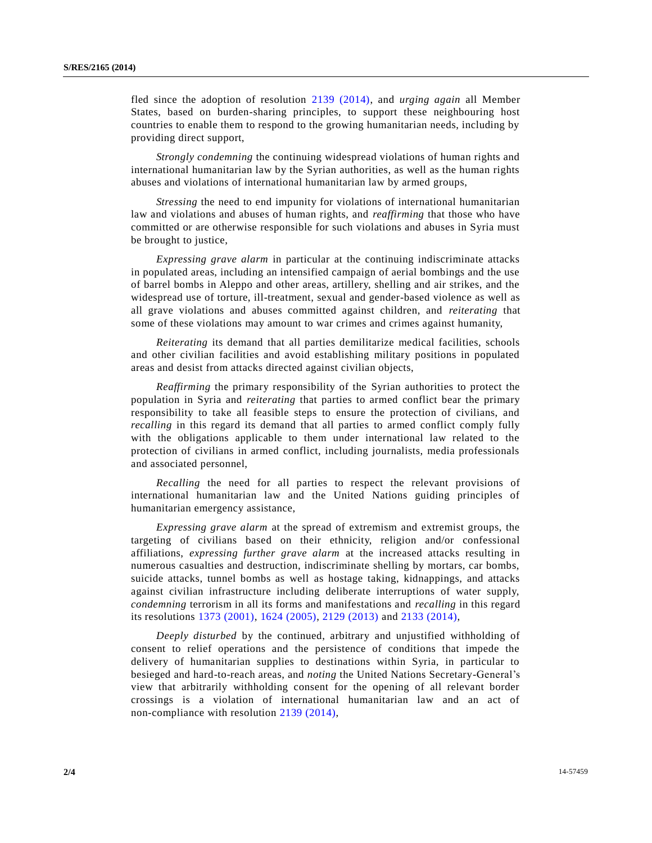fled since the adoption of resolution [2139 \(2014\),](http://undocs.org/S/RES/2139(2014)) and *urging again* all Member States, based on burden-sharing principles, to support these neighbouring host countries to enable them to respond to the growing humanitarian needs, including by providing direct support,

*Strongly condemning* the continuing widespread violations of human rights and international humanitarian law by the Syrian authorities, as well as the human rights abuses and violations of international humanitarian law by armed groups,

*Stressing* the need to end impunity for violations of international humanitarian law and violations and abuses of human rights, and *reaffirming* that those who have committed or are otherwise responsible for such violations and abuses in Syria must be brought to justice,

*Expressing grave alarm* in particular at the continuing indiscriminate attacks in populated areas, including an intensified campaign of aerial bombings and the use of barrel bombs in Aleppo and other areas, artillery, shelling and air strikes, and the widespread use of torture, ill-treatment, sexual and gender-based violence as well as all grave violations and abuses committed against children, and *reiterating* that some of these violations may amount to war crimes and crimes against humanity,

*Reiterating* its demand that all parties demilitarize medical facilities, schools and other civilian facilities and avoid establishing military positions in populated areas and desist from attacks directed against civilian objects,

*Reaffirming* the primary responsibility of the Syrian authorities to protect the population in Syria and *reiterating* that parties to armed conflict bear the primary responsibility to take all feasible steps to ensure the protection of civilians, and *recalling* in this regard its demand that all parties to armed conflict comply fully with the obligations applicable to them under international law related to the protection of civilians in armed conflict, including journalists, media professionals and associated personnel,

*Recalling* the need for all parties to respect the relevant provisions of international humanitarian law and the United Nations guiding principles of humanitarian emergency assistance,

*Expressing grave alarm* at the spread of extremism and extremist groups, the targeting of civilians based on their ethnicity, religion and/or confessional affiliations, *expressing further grave alarm* at the increased attacks resulting in numerous casualties and destruction, indiscriminate shelling by mortars, car bombs, suicide attacks, tunnel bombs as well as hostage taking, kidnappings, and attacks against civilian infrastructure including deliberate interruptions of water supply, *condemning* terrorism in all its forms and manifestations and *recalling* in this regard its resolutions [1373 \(2001\),](http://undocs.org/S/RES/1373(2001)) [1624 \(2005\),](http://undocs.org/S/RES/1624(2005)) [2129 \(2013\)](http://undocs.org/S/RES/2129(2013)) and [2133 \(2014\),](http://undocs.org/S/RES/2133(2014))

*Deeply disturbed* by the continued, arbitrary and unjustified withholding of consent to relief operations and the persistence of conditions that impede the delivery of humanitarian supplies to destinations within Syria, in particular to besieged and hard-to-reach areas, and *noting* the United Nations Secretary-General's view that arbitrarily withholding consent for the opening of all relevant border crossings is a violation of international humanitarian law and an act of non-compliance with resolution [2139 \(2014\),](http://undocs.org/S/RES/2139(2014))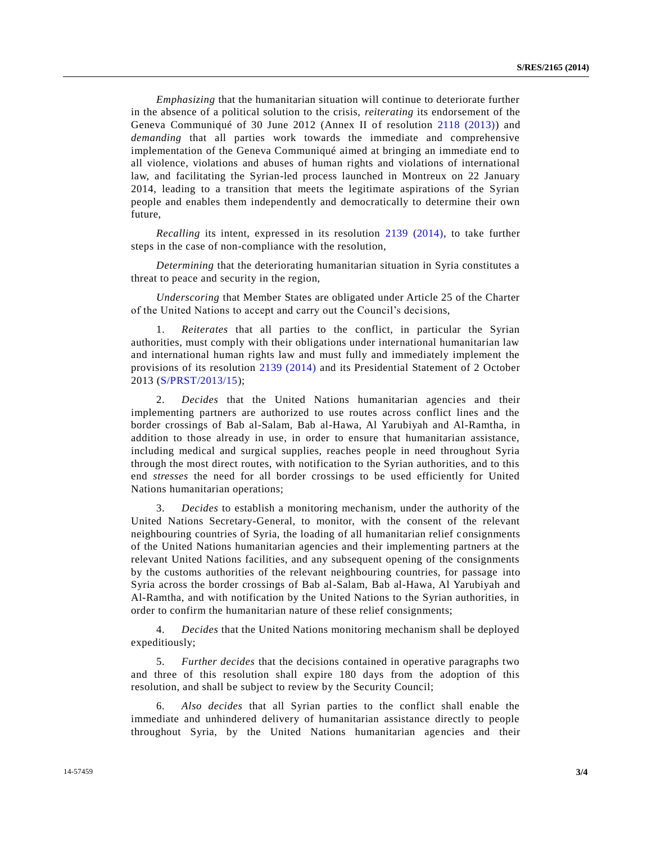*Emphasizing* that the humanitarian situation will continue to deteriorate further in the absence of a political solution to the crisis, *reiterating* its endorsement of the Geneva Communiqué of 30 June 2012 (Annex II of resolution [2118 \(2013\)\)](http://undocs.org/S/RES/2118(2013)) and *demanding* that all parties work towards the immediate and comprehensive implementation of the Geneva Communiqué aimed at bringing an immediate end to all violence, violations and abuses of human rights and violations of international law, and facilitating the Syrian-led process launched in Montreux on 22 January 2014, leading to a transition that meets the legitimate aspirations of the Syrian people and enables them independently and democratically to determine their own future,

*Recalling* its intent, expressed in its resolution [2139 \(2014\),](http://undocs.org/S/RES/2139(2014)) to take further steps in the case of non-compliance with the resolution,

*Determining* that the deteriorating humanitarian situation in Syria constitutes a threat to peace and security in the region,

*Underscoring* that Member States are obligated under Article 25 of the Charter of the United Nations to accept and carry out the Council's decisions,

1. *Reiterates* that all parties to the conflict, in particular the Syrian authorities, must comply with their obligations under international humanitarian law and international human rights law and must fully and immediately implement the provisions of its resolution [2139 \(2014\)](http://undocs.org/S/RES/2139(2014)) and its Presidential Statement of 2 October 2013 [\(S/PRST/2013/15\)](http://undocs.org/S/PRST/2013/15);

2. *Decides* that the United Nations humanitarian agencies and their implementing partners are authorized to use routes across conflict lines and the border crossings of Bab al-Salam, Bab al-Hawa, Al Yarubiyah and Al-Ramtha, in addition to those already in use, in order to ensure that humanitarian assistance, including medical and surgical supplies, reaches people in need throughout Syria through the most direct routes, with notification to the Syrian authorities, and to this end *stresses* the need for all border crossings to be used efficiently for United Nations humanitarian operations;

3. *Decides* to establish a monitoring mechanism, under the authority of the United Nations Secretary-General, to monitor, with the consent of the relevant neighbouring countries of Syria, the loading of all humanitarian relief consignments of the United Nations humanitarian agencies and their implementing partners at the relevant United Nations facilities, and any subsequent opening of the consignments by the customs authorities of the relevant neighbouring countries, for passage into Syria across the border crossings of Bab al-Salam, Bab al-Hawa, Al Yarubiyah and Al-Ramtha, and with notification by the United Nations to the Syrian authorities, in order to confirm the humanitarian nature of these relief consignments;

4. *Decides* that the United Nations monitoring mechanism shall be deployed expeditiously;

5. *Further decides* that the decisions contained in operative paragraphs two and three of this resolution shall expire 180 days from the adoption of this resolution, and shall be subject to review by the Security Council;

6. *Also decides* that all Syrian parties to the conflict shall enable the immediate and unhindered delivery of humanitarian assistance directly to people throughout Syria, by the United Nations humanitarian agencies and their